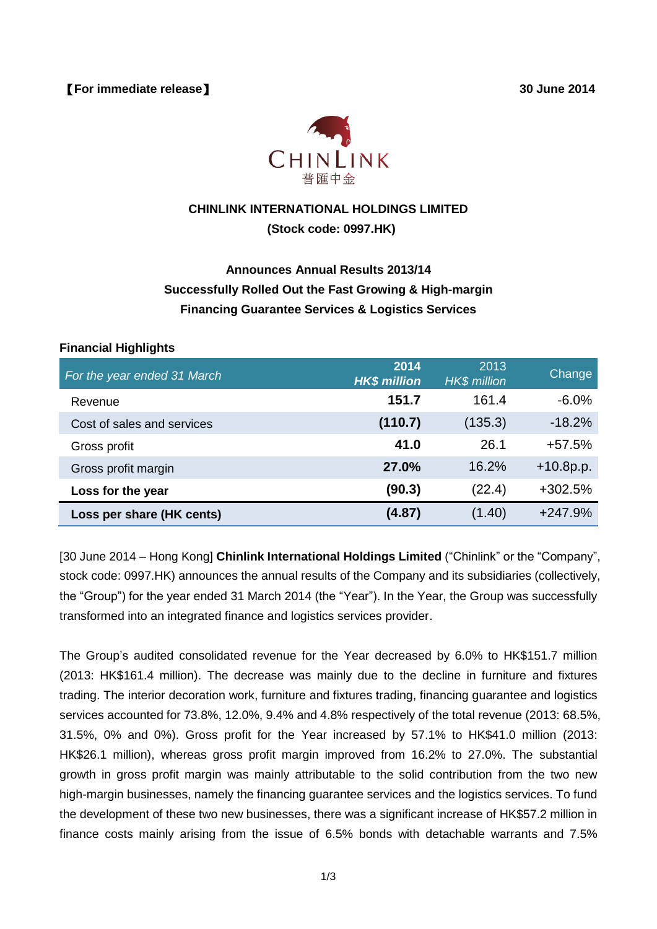

# **CHINLINK INTERNATIONAL HOLDINGS LIMITED (Stock code: 0997.HK)**

# **Announces Annual Results 2013/14 Successfully Rolled Out the Fast Growing & High-margin Financing Guarantee Services & Logistics Services**

#### **Financial Highlights**

| For the year ended 31 March | 2014<br><b>HK\$ million</b> | 2013<br><b>HK\$</b> million | Change      |
|-----------------------------|-----------------------------|-----------------------------|-------------|
| Revenue                     | 151.7                       | 161.4                       | $-6.0\%$    |
| Cost of sales and services  | (110.7)                     | (135.3)                     | $-18.2%$    |
| Gross profit                | 41.0                        | 26.1                        | $+57.5%$    |
| Gross profit margin         | 27.0%                       | 16.2%                       | $+10.8p.p.$ |
| Loss for the year           | (90.3)                      | (22.4)                      | +302.5%     |
| Loss per share (HK cents)   | (4.87)                      | (1.40)                      | $+247.9%$   |

[30 June 2014 – Hong Kong] **Chinlink International Holdings Limited** ("Chinlink" or the "Company", stock code: 0997.HK) announces the annual results of the Company and its subsidiaries (collectively, the "Group") for the year ended 31 March 2014 (the "Year"). In the Year, the Group was successfully transformed into an integrated finance and logistics services provider.

The Group's audited consolidated revenue for the Year decreased by 6.0% to HK\$151.7 million (2013: HK\$161.4 million). The decrease was mainly due to the decline in furniture and fixtures trading. The interior decoration work, furniture and fixtures trading, financing guarantee and logistics services accounted for 73.8%, 12.0%, 9.4% and 4.8% respectively of the total revenue (2013: 68.5%, 31.5%, 0% and 0%). Gross profit for the Year increased by 57.1% to HK\$41.0 million (2013: HK\$26.1 million), whereas gross profit margin improved from 16.2% to 27.0%. The substantial growth in gross profit margin was mainly attributable to the solid contribution from the two new high-margin businesses, namely the financing guarantee services and the logistics services. To fund the development of these two new businesses, there was a significant increase of HK\$57.2 million in finance costs mainly arising from the issue of 6.5% bonds with detachable warrants and 7.5%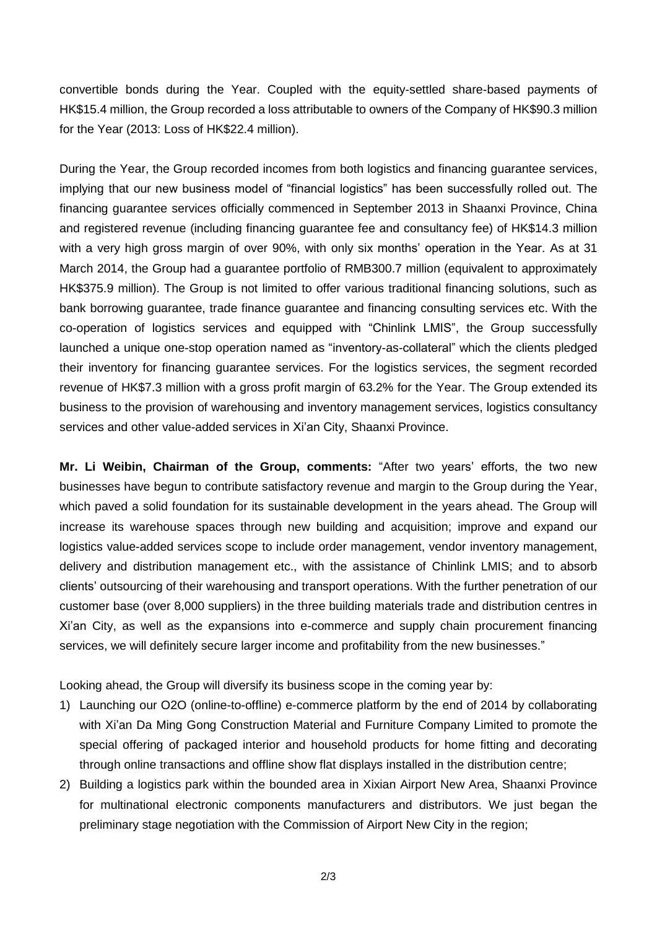convertible bonds during the Year. Coupled with the equity-settled share-based payments of HK\$15.4 million, the Group recorded a loss attributable to owners of the Company of HK\$90.3 million for the Year (2013: Loss of HK\$22.4 million).

During the Year, the Group recorded incomes from both logistics and financing guarantee services, implying that our new business model of "financial logistics" has been successfully rolled out. The financing guarantee services officially commenced in September 2013 in Shaanxi Province, China and registered revenue (including financing guarantee fee and consultancy fee) of HK\$14.3 million with a very high gross margin of over 90%, with only six months' operation in the Year. As at 31 March 2014, the Group had a guarantee portfolio of RMB300.7 million (equivalent to approximately HK\$375.9 million). The Group is not limited to offer various traditional financing solutions, such as bank borrowing guarantee, trade finance guarantee and financing consulting services etc. With the co-operation of logistics services and equipped with "Chinlink LMIS", the Group successfully launched a unique one-stop operation named as "inventory-as-collateral" which the clients pledged their inventory for financing guarantee services. For the logistics services, the segment recorded revenue of HK\$7.3 million with a gross profit margin of 63.2% for the Year. The Group extended its business to the provision of warehousing and inventory management services, logistics consultancy services and other value-added services in Xi'an City, Shaanxi Province.

**Mr. Li Weibin, Chairman of the Group, comments:** "After two years' efforts, the two new businesses have begun to contribute satisfactory revenue and margin to the Group during the Year, which paved a solid foundation for its sustainable development in the years ahead. The Group will increase its warehouse spaces through new building and acquisition; improve and expand our logistics value-added services scope to include order management, vendor inventory management, delivery and distribution management etc., with the assistance of Chinlink LMIS; and to absorb clients' outsourcing of their warehousing and transport operations. With the further penetration of our customer base (over 8,000 suppliers) in the three building materials trade and distribution centres in Xi'an City, as well as the expansions into e-commerce and supply chain procurement financing services, we will definitely secure larger income and profitability from the new businesses."

Looking ahead, the Group will diversify its business scope in the coming year by:

- 1) Launching our O2O (online-to-offline) e-commerce platform by the end of 2014 by collaborating with Xi'an Da Ming Gong Construction Material and Furniture Company Limited to promote the special offering of packaged interior and household products for home fitting and decorating through online transactions and offline show flat displays installed in the distribution centre;
- 2) Building a logistics park within the bounded area in Xixian Airport New Area, Shaanxi Province for multinational electronic components manufacturers and distributors. We just began the preliminary stage negotiation with the Commission of Airport New City in the region;